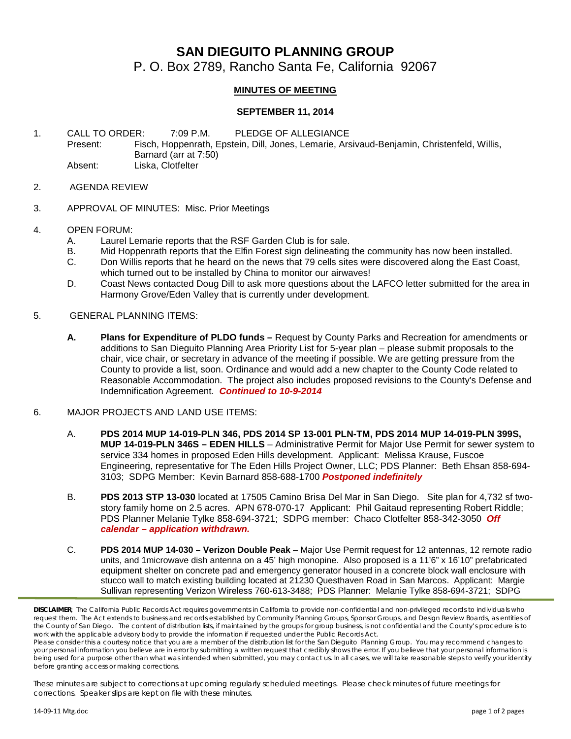## **SAN DIEGUITO PLANNING GROUP**

P. O. Box 2789, Rancho Santa Fe, California 92067

## **MINUTES OF MEETING**

## **SEPTEMBER 11, 2014**

1. CALL TO ORDER: 7:09 P.M. PLEDGE OF ALLEGIANCE Present: Fisch, Hoppenrath, Epstein, Dill, Jones, Lemarie, Arsivaud-Benjamin, Christenfeld, Willis, Barnard (arr at 7:50) Absent: Liska, Clotfelter

- 2. AGENDA REVIEW
- 3. APPROVAL OF MINUTES: Misc. Prior Meetings
- 4. OPEN FORUM:
	- A. Laurel Lemarie reports that the RSF Garden Club is for sale.
	- B. Mid Hoppenrath reports that the Elfin Forest sign delineating the community has now been installed.<br>C. Don Willis reports that he heard on the news that 79 cells sites were discovered along the Fast Coas
	- Don Willis reports that he heard on the news that 79 cells sites were discovered along the East Coast, which turned out to be installed by China to monitor our airwaves!
	- D. Coast News contacted Doug Dill to ask more questions about the LAFCO letter submitted for the area in Harmony Grove/Eden Valley that is currently under development.
- 5. GENERAL PLANNING ITEMS:
	- **A. Plans for Expenditure of PLDO funds –** Request by County Parks and Recreation for amendments or additions to San Dieguito Planning Area Priority List for 5-year plan – please submit proposals to the chair, vice chair, or secretary in advance of the meeting if possible. We are getting pressure from the County to provide a list, soon. Ordinance and would add a new chapter to the County Code related to Reasonable Accommodation. The project also includes proposed revisions to the County's Defense and Indemnification Agreement. *Continued to 10-9-2014*
- 6. MAJOR PROJECTS AND LAND USE ITEMS:
	- A. **PDS 2014 MUP 14-019-PLN 346, PDS 2014 SP 13-001 PLN-TM, PDS 2014 MUP 14-019-PLN 399S, MUP 14-019-PLN 346S – EDEN HILLS** – Administrative Permit for Major Use Permit for sewer system to service 334 homes in proposed Eden Hills development. Applicant: Melissa Krause, Fuscoe Engineering, representative for The Eden Hills Project Owner, LLC; PDS Planner: Beth Ehsan 858-694- 3103; SDPG Member: Kevin Barnard 858-688-1700 *Postponed indefinitely*
	- B. **PDS 2013 STP 13-030** located at 17505 Camino Brisa Del Mar in San Diego. Site plan for 4,732 sf twostory family home on 2.5 acres. APN 678-070-17 Applicant: Phil Gaitaud representing Robert Riddle; PDS Planner Melanie Tylke 858-694-3721; SDPG member: Chaco Clotfelter 858-342-3050 *Off calendar – application withdrawn.*
	- C. **PDS 2014 MUP 14-030 – Verizon Double Peak** Major Use Permit request for 12 antennas, 12 remote radio units, and 1microwave dish antenna on a 45' high monopine. Also proposed is a 11'6" x 16'10" prefabricated equipment shelter on concrete pad and emergency generator housed in a concrete block wall enclosure with stucco wall to match existing building located at 21230 Questhaven Road in San Marcos. Applicant: Margie Sullivan representing Verizon Wireless 760-613-3488; PDS Planner: Melanie Tylke 858-694-3721; SDPG

*These minutes are subject to corrections at upcoming regularly scheduled meetings. Please check minutes of future meetings for corrections. Speaker slips are kept on file with these minutes.*

*DISCLAIMER; The California Public Records Act requires governments in California to provide non-confidential and non-privileged records to individuals who*  request them. The Act extends to business and records established by Community Planning Groups, Sponsor Groups, and Design Review Boards, as entities of *the County of San Diego. The content of distribution lists, if maintained by the groups for group business, is not confidential and the County's procedure is to work with the applicable advisory body to provide the information if requested under the Public Records Act.*

*Please consider this a courtesy notice that you are a member of the distribution list for the San Dieguito Planning Group. You may recommend changes to*  your personal information you believe are in error by submitting a written request that credibly shows the error. If you believe that your personal information is *being used for a purpose other than what was intended when submitted, you may contact us. In all cases, we will take reasonable steps to verify your identity before granting access or making corrections.*